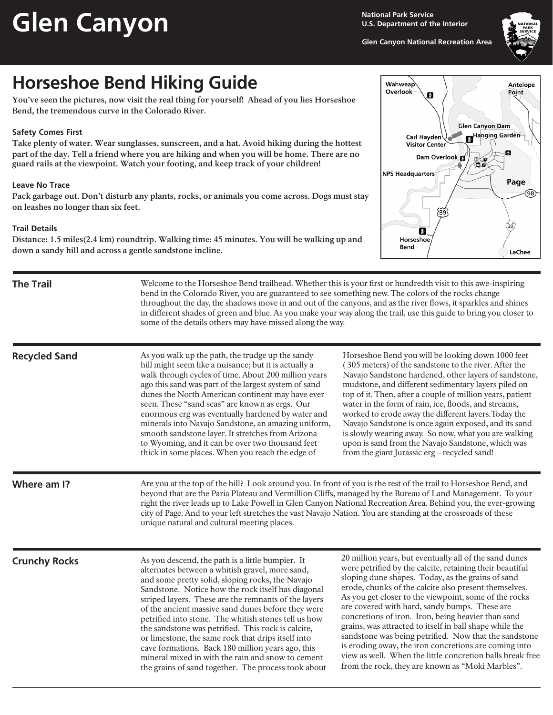# **Glen Canyon**

**National Park Service U.S. Department of the Interior**

**Glen Canyon National Recreation Area**



## **Horseshoe Bend Hiking Guide**

**You've seen the pictures, now visit the real thing for yourself! Ahead of you lies Horseshoe Bend, the tremendous curve in the Colorado River.**

### **Safety Comes First**

**Take plenty of water. Wear sunglasses, sunscreen, and a hat. Avoid hiking during the hottest part of the day. Tell a friend where you are hiking and when you will be home. There are no guard rails at the viewpoint. Watch your footing, and keep track of your children!**

#### **Leave No Trace**

**Pack garbage out. Don't disturb any plants, rocks, or animals you come across. Dogs must stay on leashes no longer than six feet.**

#### **Trail Details**

**Distance: 1.5 miles(2.4 km) roundtrip. Walking time: 45 minutes. You will be walking up and down a sandy hill and across a gentle sandstone incline.** 

| <b>Wahweap</b><br>Overlook<br>Ø<br><b>Glen Canyon Dam</b> | Antelope<br>Point |
|-----------------------------------------------------------|-------------------|
|                                                           |                   |
| Carl Hayden<br>R                                          | Hanging Garden    |
| <b>Visitor Center</b>                                     |                   |
|                                                           | 8                 |
| Dam Overlook                                              |                   |
| Φ<br>ø<br>Ōо                                              |                   |
|                                                           |                   |
| <b>NPS Headquarters</b>                                   |                   |
|                                                           | Page              |
|                                                           |                   |
|                                                           | 98                |
|                                                           |                   |
|                                                           |                   |
| 89                                                        |                   |
|                                                           |                   |
|                                                           | $\frac{1}{20}$    |
| И                                                         |                   |
| Horseshoe                                                 |                   |
| Bend                                                      |                   |
|                                                           | <b>LeChee</b>     |

| <b>The Trail</b>     | Welcome to the Horseshoe Bend trailhead. Whether this is your first or hundredth visit to this awe-inspiring<br>bend in the Colorado River, you are guaranteed to see something new. The colors of the rocks change<br>throughout the day, the shadows move in and out of the canyons, and as the river flows, it sparkles and shines<br>in different shades of green and blue. As you make your way along the trail, use this guide to bring you closer to<br>some of the details others may have missed along the way.                                                                                                                                         |                                                                                                                                                                                                                                                                                                                                                                                                                                                                                                                                                                                                                                                                                                |
|----------------------|------------------------------------------------------------------------------------------------------------------------------------------------------------------------------------------------------------------------------------------------------------------------------------------------------------------------------------------------------------------------------------------------------------------------------------------------------------------------------------------------------------------------------------------------------------------------------------------------------------------------------------------------------------------|------------------------------------------------------------------------------------------------------------------------------------------------------------------------------------------------------------------------------------------------------------------------------------------------------------------------------------------------------------------------------------------------------------------------------------------------------------------------------------------------------------------------------------------------------------------------------------------------------------------------------------------------------------------------------------------------|
| <b>Recycled Sand</b> | As you walk up the path, the trudge up the sandy<br>hill might seem like a nuisance; but it is actually a<br>walk through cycles of time. About 200 million years<br>ago this sand was part of the largest system of sand<br>dunes the North American continent may have ever<br>seen. These "sand seas" are known as ergs. Our<br>enormous erg was eventually hardened by water and<br>minerals into Navajo Sandstone, an amazing uniform,<br>smooth sandstone layer. It stretches from Arizona<br>to Wyoming, and it can be over two thousand feet<br>thick in some places. When you reach the edge of                                                         | Horseshoe Bend you will be looking down 1000 feet<br>(305 meters) of the sandstone to the river. After the<br>Navajo Sandstone hardened, other layers of sandstone,<br>mudstone, and different sedimentary layers piled on<br>top of it. Then, after a couple of million years, patient<br>water in the form of rain, ice, floods, and streams,<br>worked to erode away the different layers. Today the<br>Navajo Sandstone is once again exposed, and its sand<br>is slowly wearing away. So now, what you are walking<br>upon is sand from the Navajo Sandstone, which was<br>from the giant Jurassic erg - recycled sand!                                                                   |
| Where am I?          | Are you at the top of the hill? Look around you. In front of you is the rest of the trail to Horseshoe Bend, and<br>beyond that are the Paria Plateau and Vermillion Cliffs, managed by the Bureau of Land Management. To your<br>right the river leads up to Lake Powell in Glen Canyon National Recreation Area. Behind you, the ever-growing<br>city of Page. And to your left stretches the vast Navajo Nation. You are standing at the crossroads of these<br>unique natural and cultural meeting places.                                                                                                                                                   |                                                                                                                                                                                                                                                                                                                                                                                                                                                                                                                                                                                                                                                                                                |
| <b>Crunchy Rocks</b> | As you descend, the path is a little bumpier. It<br>alternates between a whitish gravel, more sand,<br>and some pretty solid, sloping rocks, the Navajo<br>Sandstone. Notice how the rock itself has diagonal<br>striped layers. These are the remnants of the layers<br>of the ancient massive sand dunes before they were<br>petrified into stone. The whitish stones tell us how<br>the sandstone was petrified. This rock is calcite,<br>or limestone, the same rock that drips itself into<br>cave formations. Back 180 million years ago, this<br>mineral mixed in with the rain and snow to cement<br>the grains of sand together. The process took about | 20 million years, but eventually all of the sand dunes<br>were petrified by the calcite, retaining their beautiful<br>sloping dune shapes. Today, as the grains of sand<br>erode, chunks of the calcite also present themselves.<br>As you get closer to the viewpoint, some of the rocks<br>are covered with hard, sandy bumps. These are<br>concretions of iron. Iron, being heavier than sand<br>grains, was attracted to itself in ball shape while the<br>sandstone was being petrified. Now that the sandstone<br>is eroding away, the iron concretions are coming into<br>view as well. When the little concretion balls break free<br>from the rock, they are known as "Moki Marbles". |